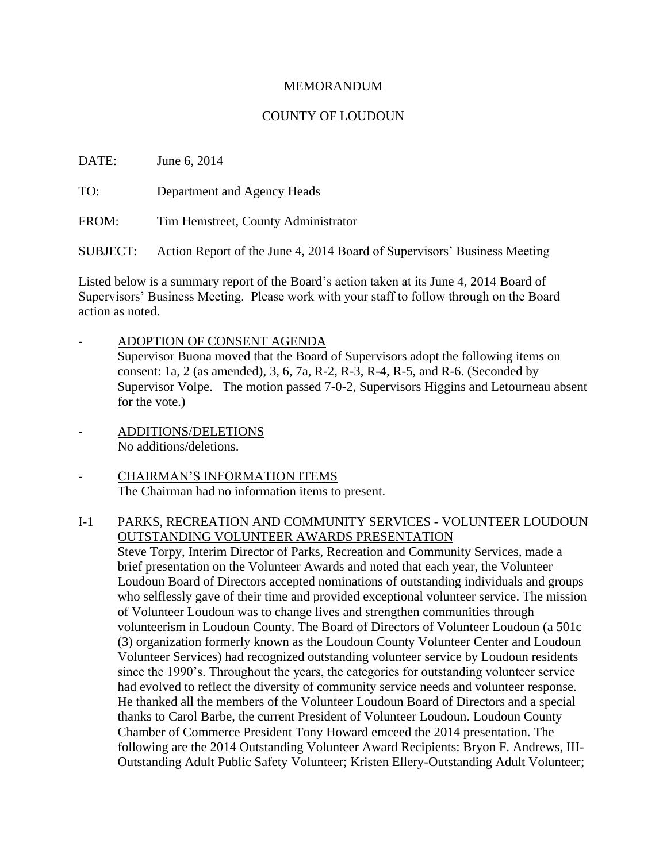### MEMORANDUM

## COUNTY OF LOUDOUN

DATE: June 6, 2014

TO: Department and Agency Heads

FROM: Tim Hemstreet, County Administrator

SUBJECT: Action Report of the June 4, 2014 Board of Supervisors' Business Meeting

Listed below is a summary report of the Board's action taken at its June 4, 2014 Board of Supervisors' Business Meeting. Please work with your staff to follow through on the Board action as noted.

- ADOPTION OF CONSENT AGENDA Supervisor Buona moved that the Board of Supervisors adopt the following items on consent: 1a, 2 (as amended), 3, 6, 7a, R-2, R-3, R-4, R-5, and R-6. (Seconded by Supervisor Volpe. The motion passed 7-0-2, Supervisors Higgins and Letourneau absent for the vote.)
- ADDITIONS/DELETIONS No additions/deletions.
- CHAIRMAN'S INFORMATION ITEMS The Chairman had no information items to present.

# I-1 PARKS, RECREATION AND COMMUNITY SERVICES - VOLUNTEER LOUDOUN OUTSTANDING VOLUNTEER AWARDS PRESENTATION

Steve Torpy, Interim Director of Parks, Recreation and Community Services, made a brief presentation on the Volunteer Awards and noted that each year, the Volunteer Loudoun Board of Directors accepted nominations of outstanding individuals and groups who selflessly gave of their time and provided exceptional volunteer service. The mission of Volunteer Loudoun was to change lives and strengthen communities through volunteerism in Loudoun County. The Board of Directors of Volunteer Loudoun (a 501c (3) organization formerly known as the Loudoun County Volunteer Center and Loudoun Volunteer Services) had recognized outstanding volunteer service by Loudoun residents since the 1990's. Throughout the years, the categories for outstanding volunteer service had evolved to reflect the diversity of community service needs and volunteer response. He thanked all the members of the Volunteer Loudoun Board of Directors and a special thanks to Carol Barbe, the current President of Volunteer Loudoun. Loudoun County Chamber of Commerce President Tony Howard emceed the 2014 presentation. The following are the 2014 Outstanding Volunteer Award Recipients: Bryon F. Andrews, III-Outstanding Adult Public Safety Volunteer; Kristen Ellery-Outstanding Adult Volunteer;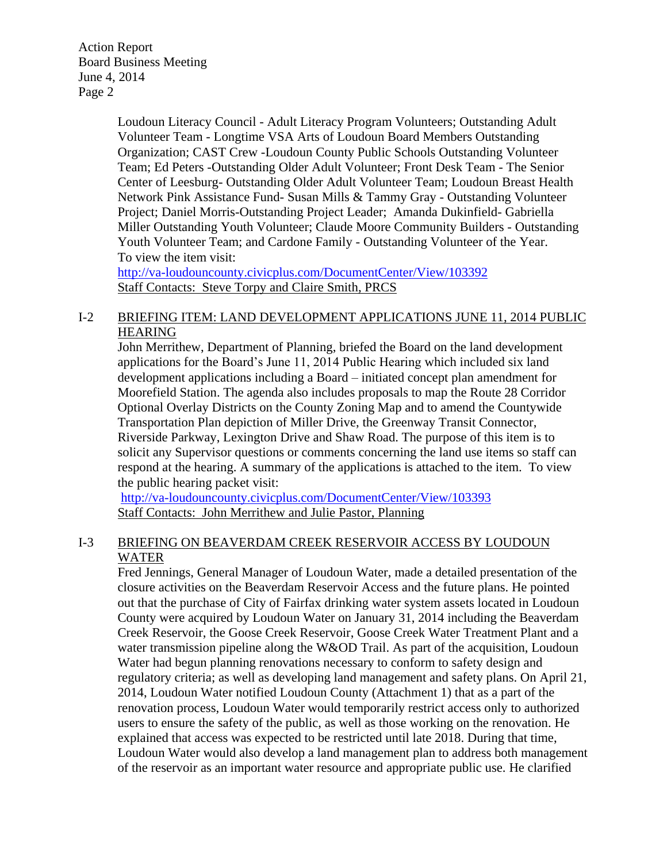> Loudoun Literacy Council - Adult Literacy Program Volunteers; Outstanding Adult Volunteer Team - Longtime VSA Arts of Loudoun Board Members Outstanding Organization; CAST Crew -Loudoun County Public Schools Outstanding Volunteer Team; Ed Peters -Outstanding Older Adult Volunteer; Front Desk Team - The Senior Center of Leesburg- Outstanding Older Adult Volunteer Team; Loudoun Breast Health Network Pink Assistance Fund- Susan Mills & Tammy Gray - Outstanding Volunteer Project; Daniel Morris-Outstanding Project Leader; Amanda Dukinfield- Gabriella Miller Outstanding Youth Volunteer; Claude Moore Community Builders - Outstanding Youth Volunteer Team; and Cardone Family - Outstanding Volunteer of the Year. To view the item visit:

<http://va-loudouncounty.civicplus.com/DocumentCenter/View/103392> Staff Contacts: Steve Torpy and Claire Smith, PRCS

# I-2 BRIEFING ITEM: LAND DEVELOPMENT APPLICATIONS JUNE 11, 2014 PUBLIC HEARING

John Merrithew, Department of Planning, briefed the Board on the land development applications for the Board's June 11, 2014 Public Hearing which included six land development applications including a Board – initiated concept plan amendment for Moorefield Station. The agenda also includes proposals to map the Route 28 Corridor Optional Overlay Districts on the County Zoning Map and to amend the Countywide Transportation Plan depiction of Miller Drive, the Greenway Transit Connector, Riverside Parkway, Lexington Drive and Shaw Road. The purpose of this item is to solicit any Supervisor questions or comments concerning the land use items so staff can respond at the hearing. A summary of the applications is attached to the item. To view the public hearing packet visit:

<http://va-loudouncounty.civicplus.com/DocumentCenter/View/103393> Staff Contacts: John Merrithew and Julie Pastor, Planning

# I-3 BRIEFING ON BEAVERDAM CREEK RESERVOIR ACCESS BY LOUDOUN WATER

Fred Jennings, General Manager of Loudoun Water, made a detailed presentation of the closure activities on the Beaverdam Reservoir Access and the future plans. He pointed out that the purchase of City of Fairfax drinking water system assets located in Loudoun County were acquired by Loudoun Water on January 31, 2014 including the Beaverdam Creek Reservoir, the Goose Creek Reservoir, Goose Creek Water Treatment Plant and a water transmission pipeline along the W&OD Trail. As part of the acquisition, Loudoun Water had begun planning renovations necessary to conform to safety design and regulatory criteria; as well as developing land management and safety plans. On April 21, 2014, Loudoun Water notified Loudoun County (Attachment 1) that as a part of the renovation process, Loudoun Water would temporarily restrict access only to authorized users to ensure the safety of the public, as well as those working on the renovation. He explained that access was expected to be restricted until late 2018. During that time, Loudoun Water would also develop a land management plan to address both management of the reservoir as an important water resource and appropriate public use. He clarified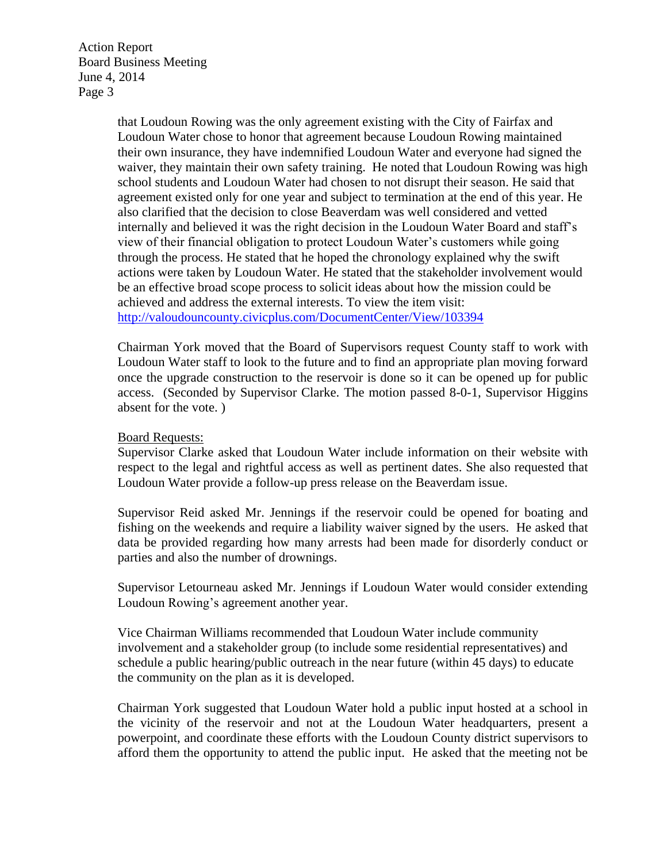> that Loudoun Rowing was the only agreement existing with the City of Fairfax and Loudoun Water chose to honor that agreement because Loudoun Rowing maintained their own insurance, they have indemnified Loudoun Water and everyone had signed the waiver, they maintain their own safety training. He noted that Loudoun Rowing was high school students and Loudoun Water had chosen to not disrupt their season. He said that agreement existed only for one year and subject to termination at the end of this year. He also clarified that the decision to close Beaverdam was well considered and vetted internally and believed it was the right decision in the Loudoun Water Board and staff's view of their financial obligation to protect Loudoun Water's customers while going through the process. He stated that he hoped the chronology explained why the swift actions were taken by Loudoun Water. He stated that the stakeholder involvement would be an effective broad scope process to solicit ideas about how the mission could be achieved and address the external interests. To view the item visit: <http://valoudouncounty.civicplus.com/DocumentCenter/View/103394>

> Chairman York moved that the Board of Supervisors request County staff to work with Loudoun Water staff to look to the future and to find an appropriate plan moving forward once the upgrade construction to the reservoir is done so it can be opened up for public access. (Seconded by Supervisor Clarke. The motion passed 8-0-1, Supervisor Higgins absent for the vote. )

#### Board Requests:

Supervisor Clarke asked that Loudoun Water include information on their website with respect to the legal and rightful access as well as pertinent dates. She also requested that Loudoun Water provide a follow-up press release on the Beaverdam issue.

Supervisor Reid asked Mr. Jennings if the reservoir could be opened for boating and fishing on the weekends and require a liability waiver signed by the users. He asked that data be provided regarding how many arrests had been made for disorderly conduct or parties and also the number of drownings.

Supervisor Letourneau asked Mr. Jennings if Loudoun Water would consider extending Loudoun Rowing's agreement another year.

Vice Chairman Williams recommended that Loudoun Water include community involvement and a stakeholder group (to include some residential representatives) and schedule a public hearing/public outreach in the near future (within 45 days) to educate the community on the plan as it is developed.

Chairman York suggested that Loudoun Water hold a public input hosted at a school in the vicinity of the reservoir and not at the Loudoun Water headquarters, present a powerpoint, and coordinate these efforts with the Loudoun County district supervisors to afford them the opportunity to attend the public input. He asked that the meeting not be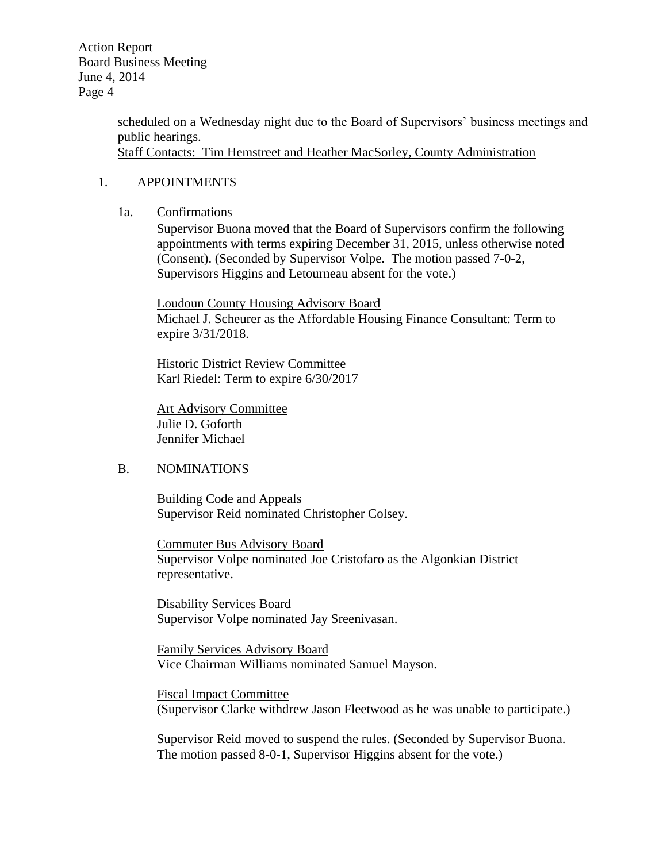> scheduled on a Wednesday night due to the Board of Supervisors' business meetings and public hearings. Staff Contacts: Tim Hemstreet and Heather MacSorley, County Administration

#### 1. APPOINTMENTS

#### 1a. Confirmations

Supervisor Buona moved that the Board of Supervisors confirm the following appointments with terms expiring December 31, 2015, unless otherwise noted (Consent). (Seconded by Supervisor Volpe. The motion passed 7-0-2, Supervisors Higgins and Letourneau absent for the vote.)

Loudoun County Housing Advisory Board Michael J. Scheurer as the Affordable Housing Finance Consultant: Term to expire 3/31/2018.

Historic District Review Committee Karl Riedel: Term to expire 6/30/2017

Art Advisory Committee Julie D. Goforth Jennifer Michael

### B. NOMINATIONS

Building Code and Appeals Supervisor Reid nominated Christopher Colsey.

Commuter Bus Advisory Board Supervisor Volpe nominated Joe Cristofaro as the Algonkian District representative.

Disability Services Board Supervisor Volpe nominated Jay Sreenivasan.

Family Services Advisory Board Vice Chairman Williams nominated Samuel Mayson.

Fiscal Impact Committee (Supervisor Clarke withdrew Jason Fleetwood as he was unable to participate.)

Supervisor Reid moved to suspend the rules. (Seconded by Supervisor Buona. The motion passed 8-0-1, Supervisor Higgins absent for the vote.)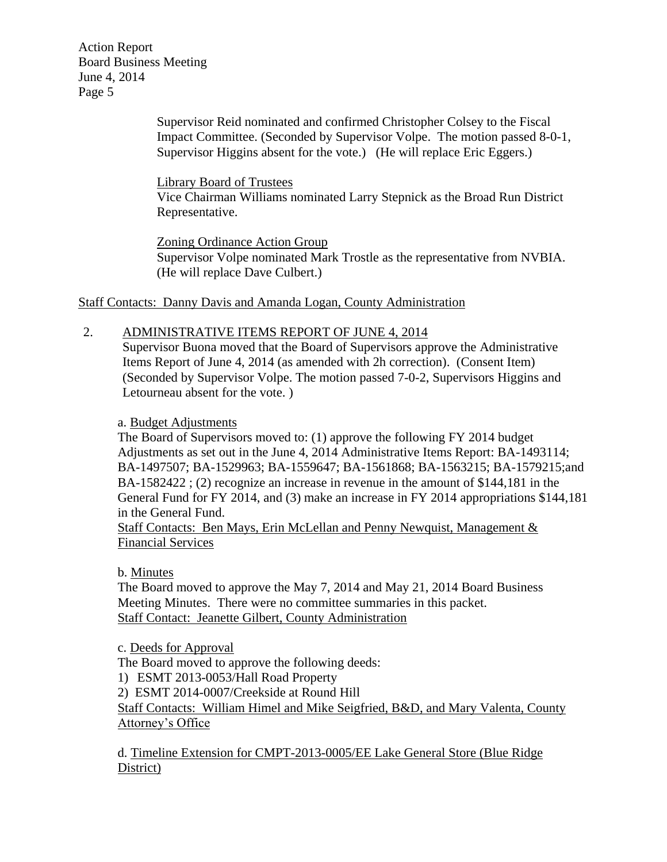> Supervisor Reid nominated and confirmed Christopher Colsey to the Fiscal Impact Committee. (Seconded by Supervisor Volpe. The motion passed 8-0-1, Supervisor Higgins absent for the vote.) (He will replace Eric Eggers.)

Library Board of Trustees

Vice Chairman Williams nominated Larry Stepnick as the Broad Run District Representative.

Zoning Ordinance Action Group Supervisor Volpe nominated Mark Trostle as the representative from NVBIA. (He will replace Dave Culbert.)

Staff Contacts: Danny Davis and Amanda Logan, County Administration

# 2. ADMINISTRATIVE ITEMS REPORT OF JUNE 4, 2014

Supervisor Buona moved that the Board of Supervisors approve the Administrative Items Report of June 4, 2014 (as amended with 2h correction). (Consent Item) (Seconded by Supervisor Volpe. The motion passed 7-0-2, Supervisors Higgins and Letourneau absent for the vote. )

### a. Budget Adjustments

The Board of Supervisors moved to: (1) approve the following FY 2014 budget Adjustments as set out in the June 4, 2014 Administrative Items Report: BA-1493114; BA-1497507; BA-1529963; BA-1559647; BA-1561868; BA-1563215; BA-1579215;and BA-1582422 ; (2) recognize an increase in revenue in the amount of \$144,181 in the General Fund for FY 2014, and (3) make an increase in FY 2014 appropriations \$144,181 in the General Fund.

Staff Contacts: Ben Mays, Erin McLellan and Penny Newquist, Management & Financial Services

b. Minutes

The Board moved to approve the May 7, 2014 and May 21, 2014 Board Business Meeting Minutes. There were no committee summaries in this packet. Staff Contact: Jeanette Gilbert, County Administration

c. Deeds for Approval

The Board moved to approve the following deeds: 1) ESMT 2013-0053/Hall Road Property 2) ESMT 2014-0007/Creekside at Round Hill Staff Contacts: William Himel and Mike Seigfried, B&D, and Mary Valenta, County Attorney's Office

d. Timeline Extension for CMPT-2013-0005/EE Lake General Store (Blue Ridge District)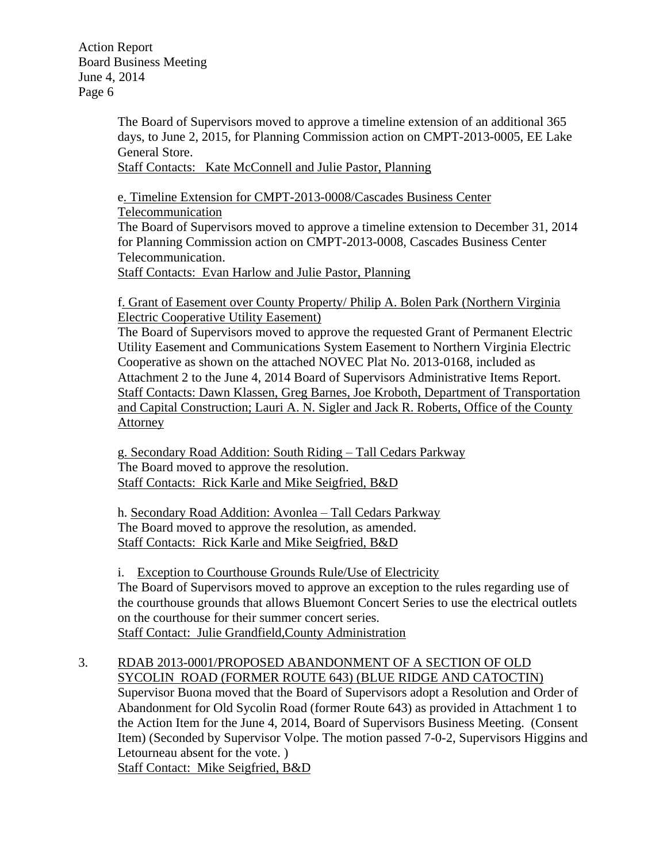> The Board of Supervisors moved to approve a timeline extension of an additional 365 days, to June 2, 2015, for Planning Commission action on CMPT-2013-0005, EE Lake General Store.

Staff Contacts: Kate McConnell and Julie Pastor, Planning

e. Timeline Extension for CMPT-2013-0008/Cascades Business Center Telecommunication

The Board of Supervisors moved to approve a timeline extension to December 31, 2014 for Planning Commission action on CMPT-2013-0008, Cascades Business Center Telecommunication.

Staff Contacts: Evan Harlow and Julie Pastor, Planning

f. Grant of Easement over County Property/ Philip A. Bolen Park (Northern Virginia Electric Cooperative Utility Easement)

The Board of Supervisors moved to approve the requested Grant of Permanent Electric Utility Easement and Communications System Easement to Northern Virginia Electric Cooperative as shown on the attached NOVEC Plat No. 2013-0168, included as Attachment 2 to the June 4, 2014 Board of Supervisors Administrative Items Report. Staff Contacts: Dawn Klassen, Greg Barnes, Joe Kroboth, Department of Transportation and Capital Construction; Lauri A. N. Sigler and Jack R. Roberts, Office of the County Attorney

g. Secondary Road Addition: South Riding – Tall Cedars Parkway The Board moved to approve the resolution. Staff Contacts: Rick Karle and Mike Seigfried, B&D

h. Secondary Road Addition: Avonlea – Tall Cedars Parkway The Board moved to approve the resolution, as amended. Staff Contacts: Rick Karle and Mike Seigfried, B&D

i. Exception to Courthouse Grounds Rule/Use of Electricity The Board of Supervisors moved to approve an exception to the rules regarding use of the courthouse grounds that allows Bluemont Concert Series to use the electrical outlets on the courthouse for their summer concert series. Staff Contact: Julie Grandfield,County Administration

3. RDAB 2013-0001/PROPOSED ABANDONMENT OF A SECTION OF OLD SYCOLIN ROAD (FORMER ROUTE 643) (BLUE RIDGE AND CATOCTIN) Supervisor Buona moved that the Board of Supervisors adopt a Resolution and Order of Abandonment for Old Sycolin Road (former Route 643) as provided in Attachment 1 to the Action Item for the June 4, 2014, Board of Supervisors Business Meeting. (Consent Item) (Seconded by Supervisor Volpe. The motion passed 7-0-2, Supervisors Higgins and Letourneau absent for the vote. ) Staff Contact: Mike Seigfried, B&D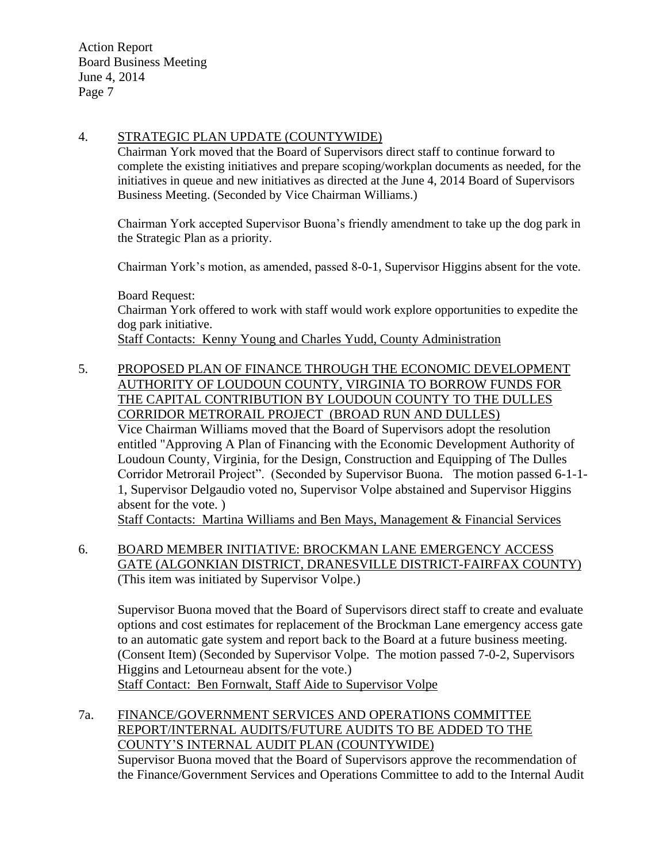## 4. STRATEGIC PLAN UPDATE (COUNTYWIDE)

Chairman York moved that the Board of Supervisors direct staff to continue forward to complete the existing initiatives and prepare scoping/workplan documents as needed, for the initiatives in queue and new initiatives as directed at the June 4, 2014 Board of Supervisors Business Meeting. (Seconded by Vice Chairman Williams.)

Chairman York accepted Supervisor Buona's friendly amendment to take up the dog park in the Strategic Plan as a priority.

Chairman York's motion, as amended, passed 8-0-1, Supervisor Higgins absent for the vote.

Board Request: Chairman York offered to work with staff would work explore opportunities to expedite the dog park initiative. Staff Contacts: Kenny Young and Charles Yudd, County Administration

5. PROPOSED PLAN OF FINANCE THROUGH THE ECONOMIC DEVELOPMENT AUTHORITY OF LOUDOUN COUNTY, VIRGINIA TO BORROW FUNDS FOR THE CAPITAL CONTRIBUTION BY LOUDOUN COUNTY TO THE DULLES CORRIDOR METRORAIL PROJECT (BROAD RUN AND DULLES) Vice Chairman Williams moved that the Board of Supervisors adopt the resolution entitled "Approving A Plan of Financing with the Economic Development Authority of Loudoun County, Virginia, for the Design, Construction and Equipping of The Dulles Corridor Metrorail Project". (Seconded by Supervisor Buona. The motion passed 6-1-1- 1, Supervisor Delgaudio voted no, Supervisor Volpe abstained and Supervisor Higgins absent for the vote. )

Staff Contacts: Martina Williams and Ben Mays, Management & Financial Services

6. BOARD MEMBER INITIATIVE: BROCKMAN LANE EMERGENCY ACCESS GATE (ALGONKIAN DISTRICT, DRANESVILLE DISTRICT-FAIRFAX COUNTY) (This item was initiated by Supervisor Volpe.)

Supervisor Buona moved that the Board of Supervisors direct staff to create and evaluate options and cost estimates for replacement of the Brockman Lane emergency access gate to an automatic gate system and report back to the Board at a future business meeting. (Consent Item) (Seconded by Supervisor Volpe. The motion passed 7-0-2, Supervisors Higgins and Letourneau absent for the vote.) Staff Contact: Ben Fornwalt, Staff Aide to Supervisor Volpe

7a. FINANCE/GOVERNMENT SERVICES AND OPERATIONS COMMITTEE REPORT/INTERNAL AUDITS/FUTURE AUDITS TO BE ADDED TO THE COUNTY'S INTERNAL AUDIT PLAN (COUNTYWIDE) Supervisor Buona moved that the Board of Supervisors approve the recommendation of the Finance/Government Services and Operations Committee to add to the Internal Audit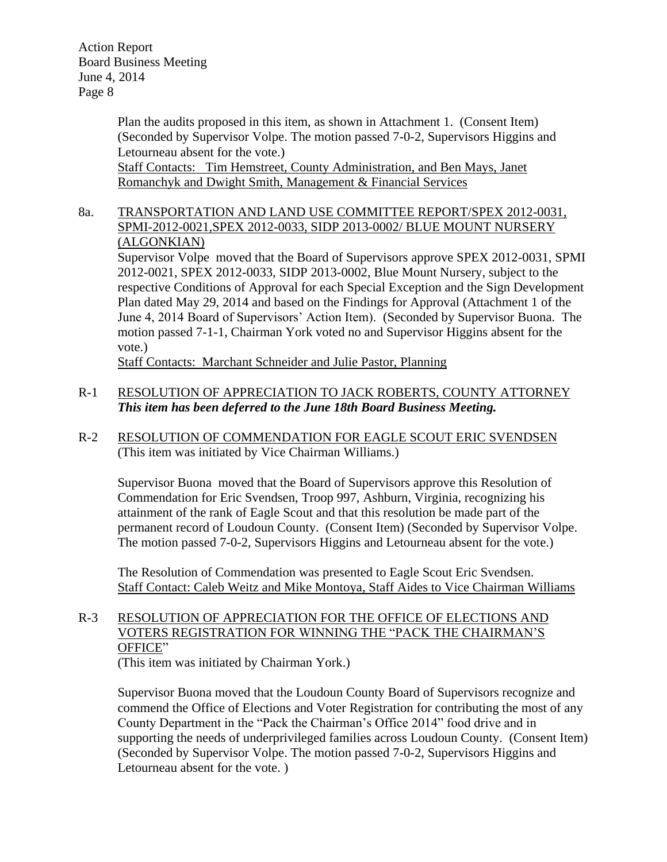> Plan the audits proposed in this item, as shown in Attachment 1. (Consent Item) (Seconded by Supervisor Volpe. The motion passed 7-0-2, Supervisors Higgins and Letourneau absent for the vote.)

Staff Contacts: Tim Hemstreet, County Administration, and Ben Mays, Janet Romanchyk and Dwight Smith, Management & Financial Services

# 8a. TRANSPORTATION AND LAND USE COMMITTEE REPORT/SPEX 2012-0031, SPMI-2012-0021,SPEX 2012-0033, SIDP 2013-0002/ BLUE MOUNT NURSERY (ALGONKIAN)

Supervisor Volpe moved that the Board of Supervisors approve SPEX 2012-0031, SPMI 2012-0021, SPEX 2012-0033, SIDP 2013-0002, Blue Mount Nursery, subject to the respective Conditions of Approval for each Special Exception and the Sign Development Plan dated May 29, 2014 and based on the Findings for Approval (Attachment 1 of the June 4, 2014 Board of Supervisors' Action Item). (Seconded by Supervisor Buona. The motion passed 7-1-1, Chairman York voted no and Supervisor Higgins absent for the vote.)

Staff Contacts: Marchant Schneider and Julie Pastor, Planning

# R-1 RESOLUTION OF APPRECIATION TO JACK ROBERTS, COUNTY ATTORNEY *This item has been deferred to the June 18th Board Business Meeting.*

R-2 RESOLUTION OF COMMENDATION FOR EAGLE SCOUT ERIC SVENDSEN (This item was initiated by Vice Chairman Williams.)

Supervisor Buona moved that the Board of Supervisors approve this Resolution of Commendation for Eric Svendsen, Troop 997, Ashburn, Virginia, recognizing his attainment of the rank of Eagle Scout and that this resolution be made part of the permanent record of Loudoun County. (Consent Item) (Seconded by Supervisor Volpe. The motion passed 7-0-2, Supervisors Higgins and Letourneau absent for the vote.)

The Resolution of Commendation was presented to Eagle Scout Eric Svendsen. Staff Contact: Caleb Weitz and Mike Montoya, Staff Aides to Vice Chairman Williams

# R-3 RESOLUTION OF APPRECIATION FOR THE OFFICE OF ELECTIONS AND VOTERS REGISTRATION FOR WINNING THE "PACK THE CHAIRMAN'S OFFICE"

(This item was initiated by Chairman York.)

Supervisor Buona moved that the Loudoun County Board of Supervisors recognize and commend the Office of Elections and Voter Registration for contributing the most of any County Department in the "Pack the Chairman's Office 2014" food drive and in supporting the needs of underprivileged families across Loudoun County. (Consent Item) (Seconded by Supervisor Volpe. The motion passed 7-0-2, Supervisors Higgins and Letourneau absent for the vote. )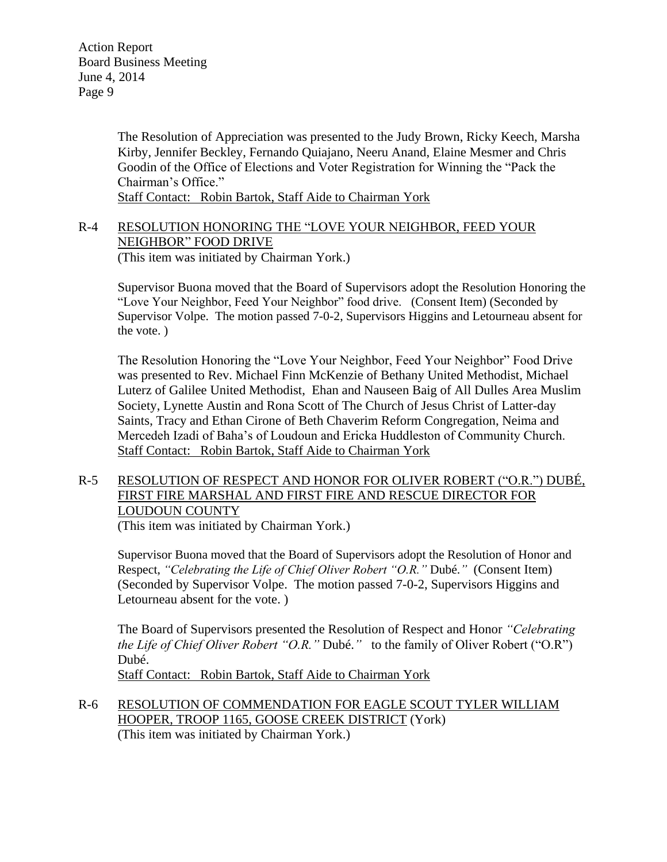> The Resolution of Appreciation was presented to the Judy Brown, Ricky Keech, Marsha Kirby, Jennifer Beckley, Fernando Quiajano, Neeru Anand, Elaine Mesmer and Chris Goodin of the Office of Elections and Voter Registration for Winning the "Pack the Chairman's Office."

Staff Contact: Robin Bartok, Staff Aide to Chairman York

### R-4 RESOLUTION HONORING THE "LOVE YOUR NEIGHBOR, FEED YOUR NEIGHBOR" FOOD DRIVE (This item was initiated by Chairman York.)

Supervisor Buona moved that the Board of Supervisors adopt the Resolution Honoring the "Love Your Neighbor, Feed Your Neighbor" food drive. (Consent Item) (Seconded by Supervisor Volpe. The motion passed 7-0-2, Supervisors Higgins and Letourneau absent for the vote. )

The Resolution Honoring the "Love Your Neighbor, Feed Your Neighbor" Food Drive was presented to Rev. Michael Finn McKenzie of Bethany United Methodist, Michael Luterz of Galilee United Methodist, Ehan and Nauseen Baig of All Dulles Area Muslim Society, Lynette Austin and Rona Scott of The Church of Jesus Christ of Latter-day Saints, Tracy and Ethan Cirone of Beth Chaverim Reform Congregation, Neima and Mercedeh Izadi of Baha's of Loudoun and Ericka Huddleston of Community Church. Staff Contact: Robin Bartok, Staff Aide to Chairman York

# R-5 RESOLUTION OF RESPECT AND HONOR FOR OLIVER ROBERT ("O.R.") DUBÉ, FIRST FIRE MARSHAL AND FIRST FIRE AND RESCUE DIRECTOR FOR LOUDOUN COUNTY

(This item was initiated by Chairman York.)

Supervisor Buona moved that the Board of Supervisors adopt the Resolution of Honor and Respect, *"Celebrating the Life of Chief Oliver Robert "O.R."* Dubé.*"* (Consent Item) (Seconded by Supervisor Volpe. The motion passed 7-0-2, Supervisors Higgins and Letourneau absent for the vote. )

The Board of Supervisors presented the Resolution of Respect and Honor *"Celebrating the Life of Chief Oliver Robert "O.R."* Dubé.*"* to the family of Oliver Robert ("O.R") Dubé.

Staff Contact: Robin Bartok, Staff Aide to Chairman York

R-6 RESOLUTION OF COMMENDATION FOR EAGLE SCOUT TYLER WILLIAM HOOPER, TROOP 1165, GOOSE CREEK DISTRICT (York) (This item was initiated by Chairman York.)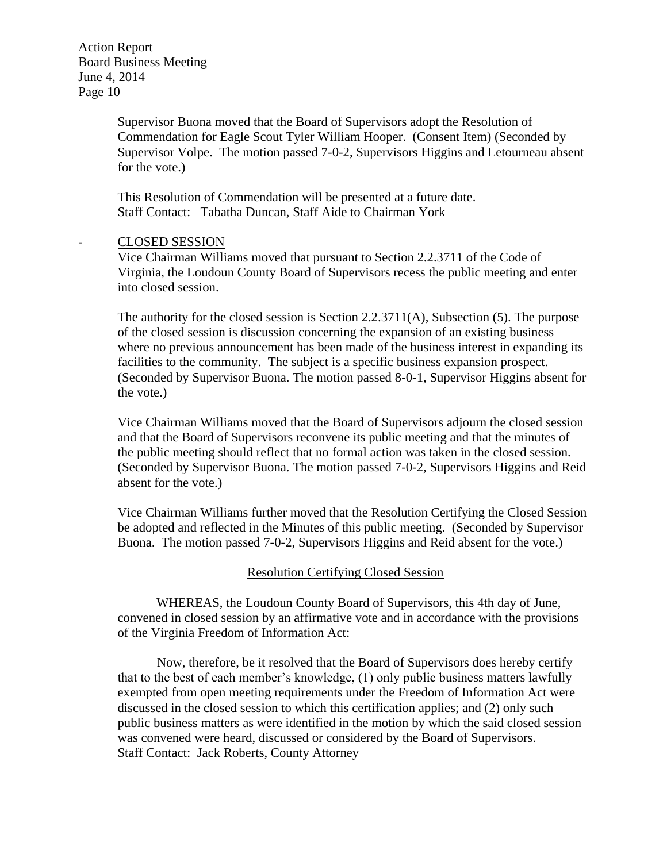> Supervisor Buona moved that the Board of Supervisors adopt the Resolution of Commendation for Eagle Scout Tyler William Hooper. (Consent Item) (Seconded by Supervisor Volpe. The motion passed 7-0-2, Supervisors Higgins and Letourneau absent for the vote.)

This Resolution of Commendation will be presented at a future date. Staff Contact: Tabatha Duncan, Staff Aide to Chairman York

#### - CLOSED SESSION

Vice Chairman Williams moved that pursuant to Section 2.2.3711 of the Code of Virginia, the Loudoun County Board of Supervisors recess the public meeting and enter into closed session.

The authority for the closed session is Section 2.2.3711(A), Subsection (5). The purpose of the closed session is discussion concerning the expansion of an existing business where no previous announcement has been made of the business interest in expanding its facilities to the community. The subject is a specific business expansion prospect. (Seconded by Supervisor Buona. The motion passed 8-0-1, Supervisor Higgins absent for the vote.)

Vice Chairman Williams moved that the Board of Supervisors adjourn the closed session and that the Board of Supervisors reconvene its public meeting and that the minutes of the public meeting should reflect that no formal action was taken in the closed session. (Seconded by Supervisor Buona. The motion passed 7-0-2, Supervisors Higgins and Reid absent for the vote.)

Vice Chairman Williams further moved that the Resolution Certifying the Closed Session be adopted and reflected in the Minutes of this public meeting. (Seconded by Supervisor Buona. The motion passed 7-0-2, Supervisors Higgins and Reid absent for the vote.)

#### Resolution Certifying Closed Session

WHEREAS, the Loudoun County Board of Supervisors, this 4th day of June, convened in closed session by an affirmative vote and in accordance with the provisions of the Virginia Freedom of Information Act:

Now, therefore, be it resolved that the Board of Supervisors does hereby certify that to the best of each member's knowledge, (1) only public business matters lawfully exempted from open meeting requirements under the Freedom of Information Act were discussed in the closed session to which this certification applies; and (2) only such public business matters as were identified in the motion by which the said closed session was convened were heard, discussed or considered by the Board of Supervisors. Staff Contact: Jack Roberts, County Attorney